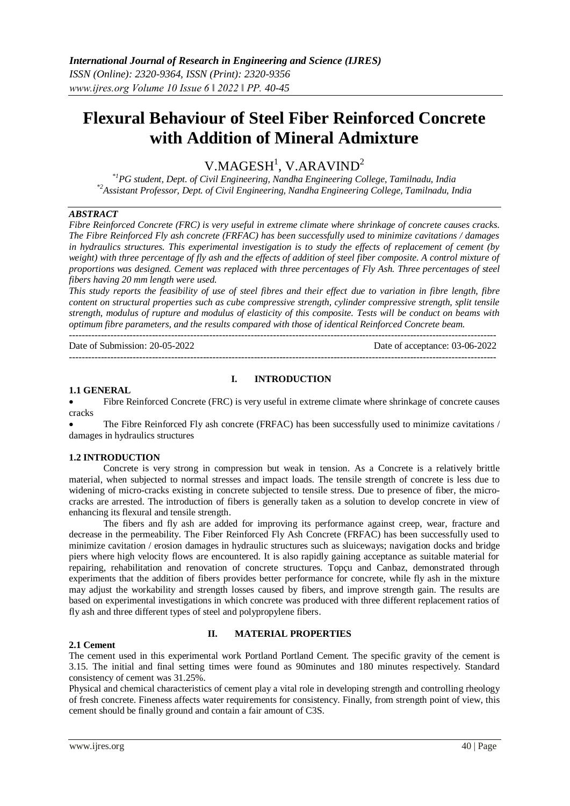# **Flexural Behaviour of Steel Fiber Reinforced Concrete with Addition of Mineral Admixture**

 $V.MAGESH<sup>1</sup>, V.ARAVIND<sup>2</sup>$ 

*\*1PG student, Dept. of Civil Engineering, Nandha Engineering College, Tamilnadu, India \*2Assistant Professor, Dept. of Civil Engineering, Nandha Engineering College, Tamilnadu, India*

## *ABSTRACT*

*Fibre Reinforced Concrete (FRC) is very useful in extreme climate where shrinkage of concrete causes cracks. The Fibre Reinforced Fly ash concrete (FRFAC) has been successfully used to minimize cavitations / damages in hydraulics structures. This experimental investigation is to study the effects of replacement of cement (by weight)* with three percentage of fly ash and the effects of addition of steel fiber composite. A control mixture of *proportions was designed. Cement was replaced with three percentages of Fly Ash. Three percentages of steel fibers having 20 mm length were used.* 

*This study reports the feasibility of use of steel fibres and their effect due to variation in fibre length, fibre content on structural properties such as cube compressive strength, cylinder compressive strength, split tensile strength, modulus of rupture and modulus of elasticity of this composite. Tests will be conduct on beams with optimum fibre parameters, and the results compared with those of identical Reinforced Concrete beam.* 

Date of Submission: 20-05-2022 Date of acceptance: 03-06-2022 --------------------------------------------------------------------------------------------------------------------------------------

## **I. INTRODUCTION**

#### **1.1 GENERAL**

 Fibre Reinforced Concrete (FRC) is very useful in extreme climate where shrinkage of concrete causes cracks

 The Fibre Reinforced Fly ash concrete (FRFAC) has been successfully used to minimize cavitations / damages in hydraulics structures

#### **1.2 INTRODUCTION**

Concrete is very strong in compression but weak in tension. As a Concrete is a relatively brittle material, when subjected to normal stresses and impact loads. The tensile strength of concrete is less due to widening of micro-cracks existing in concrete subjected to tensile stress. Due to presence of fiber, the microcracks are arrested. The introduction of fibers is generally taken as a solution to develop concrete in view of enhancing its flexural and tensile strength.

The fibers and fly ash are added for improving its performance against creep, wear, fracture and decrease in the permeability. The Fiber Reinforced Fly Ash Concrete (FRFAC) has been successfully used to minimize cavitation / erosion damages in hydraulic structures such as sluiceways; navigation docks and bridge piers where high velocity flows are encountered. It is also rapidly gaining acceptance as suitable material for repairing, rehabilitation and renovation of concrete structures. Topçu and Canbaz, demonstrated through experiments that the addition of fibers provides better performance for concrete, while fly ash in the mixture may adjust the workability and strength losses caused by fibers, and improve strength gain. The results are based on experimental investigations in which concrete was produced with three different replacement ratios of fly ash and three different types of steel and polypropylene fibers.

#### **2.1 Cement**

#### **II. MATERIAL PROPERTIES**

The cement used in this experimental work Portland Portland Cement. The specific gravity of the cement is 3.15. The initial and final setting times were found as 90minutes and 180 minutes respectively. Standard consistency of cement was 31.25%.

Physical and chemical characteristics of cement play a vital role in developing strength and controlling rheology of fresh concrete. Fineness affects water requirements for consistency. Finally, from strength point of view, this cement should be finally ground and contain a fair amount of C3S.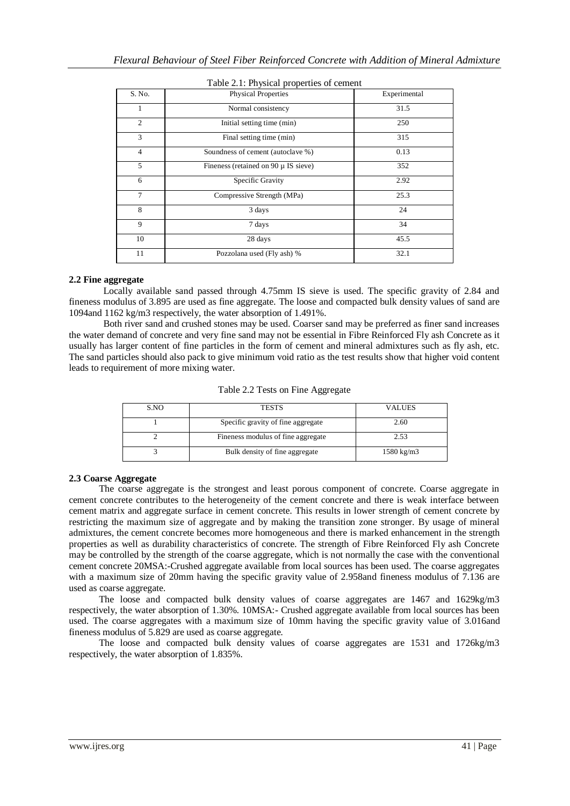| S. No.         | .<br>Physical Properties                 | Experimental |
|----------------|------------------------------------------|--------------|
| 1              | Normal consistency                       | 31.5         |
| $\overline{c}$ | Initial setting time (min)               | 250          |
| 3              | Final setting time (min)                 | 315          |
| $\overline{4}$ | Soundness of cement (autoclave %)        | 0.13         |
| 5              | Fineness (retained on 90 $\mu$ IS sieve) | 352          |
| 6              | Specific Gravity                         | 2.92         |
| 7              | Compressive Strength (MPa)               | 25.3         |
| 8              | 3 days                                   | 24           |
| 9              | 7 days                                   | 34           |
| 10             | 28 days                                  | 45.5         |
| 11             | Pozzolana used (Fly ash) %               | 32.1         |

## Table 2.1: Physical properties of cement

#### **2.2 Fine aggregate**

Locally available sand passed through 4.75mm IS sieve is used. The specific gravity of 2.84 and fineness modulus of 3.895 are used as fine aggregate. The loose and compacted bulk density values of sand are 1094and 1162 kg/m3 respectively, the water absorption of 1.491%.

Both river sand and crushed stones may be used. Coarser sand may be preferred as finer sand increases the water demand of concrete and very fine sand may not be essential in Fibre Reinforced Fly ash Concrete as it usually has larger content of fine particles in the form of cement and mineral admixtures such as fly ash, etc. The sand particles should also pack to give minimum void ratio as the test results show that higher void content leads to requirement of more mixing water.

|  |  |  |  | Table 2.2 Tests on Fine Aggregate |
|--|--|--|--|-----------------------------------|
|--|--|--|--|-----------------------------------|

| S.NO | <b>TESTS</b>                       | VALUES     |
|------|------------------------------------|------------|
|      | Specific gravity of fine aggregate | 2.60       |
|      | Fineness modulus of fine aggregate | 2.53       |
|      | Bulk density of fine aggregate     | 1580 kg/m3 |

#### **2.3 Coarse Aggregate**

The coarse aggregate is the strongest and least porous component of concrete. Coarse aggregate in cement concrete contributes to the heterogeneity of the cement concrete and there is weak interface between cement matrix and aggregate surface in cement concrete. This results in lower strength of cement concrete by restricting the maximum size of aggregate and by making the transition zone stronger. By usage of mineral admixtures, the cement concrete becomes more homogeneous and there is marked enhancement in the strength properties as well as durability characteristics of concrete. The strength of Fibre Reinforced Fly ash Concrete may be controlled by the strength of the coarse aggregate, which is not normally the case with the conventional cement concrete 20MSA:-Crushed aggregate available from local sources has been used. The coarse aggregates with a maximum size of 20mm having the specific gravity value of 2.958and fineness modulus of 7.136 are used as coarse aggregate.

The loose and compacted bulk density values of coarse aggregates are 1467 and 1629kg/m3 respectively, the water absorption of 1.30%. 10MSA:- Crushed aggregate available from local sources has been used. The coarse aggregates with a maximum size of 10mm having the specific gravity value of 3.016and fineness modulus of 5.829 are used as coarse aggregate.

The loose and compacted bulk density values of coarse aggregates are 1531 and 1726kg/m3 respectively, the water absorption of 1.835%.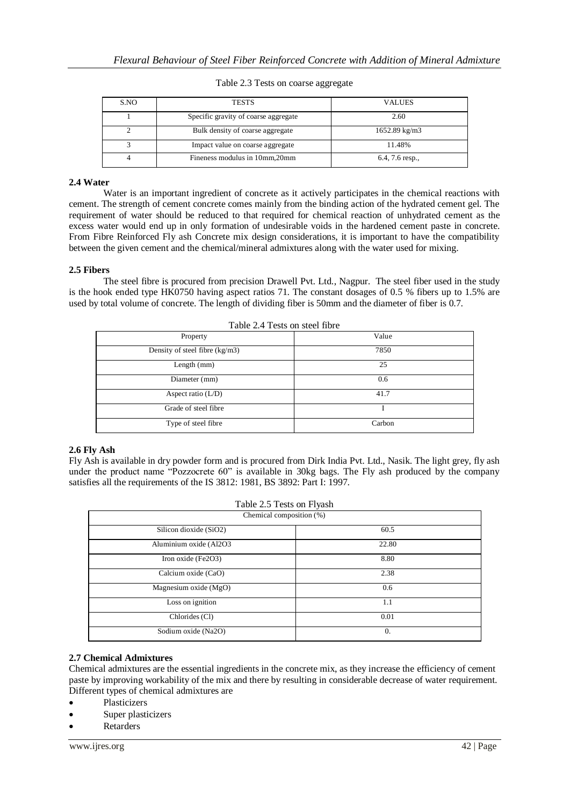| S.NO | <b>TESTS</b>                         | <b>VALUES</b>            |
|------|--------------------------------------|--------------------------|
|      | Specific gravity of coarse aggregate | 2.60                     |
|      | Bulk density of coarse aggregate     | $1652.89 \text{ kg/m}$ 3 |
|      | Impact value on coarse aggregate     | 11.48%                   |
|      | Fineness modulus in 10mm, 20mm       | $6.4, 7.6$ resp.,        |

#### Table 2.3 Tests on coarse aggregate

## **2.4 Water**

Water is an important ingredient of concrete as it actively participates in the chemical reactions with cement. The strength of cement concrete comes mainly from the binding action of the hydrated cement gel. The requirement of water should be reduced to that required for chemical reaction of unhydrated cement as the excess water would end up in only formation of undesirable voids in the hardened cement paste in concrete. From Fibre Reinforced Fly ash Concrete mix design considerations, it is important to have the compatibility between the given cement and the chemical/mineral admixtures along with the water used for mixing.

# **2.5 Fibers**

The steel fibre is procured from precision Drawell Pvt. Ltd., Nagpur. The steel fiber used in the study is the hook ended type HK0750 having aspect ratios 71. The constant dosages of 0.5 % fibers up to 1.5% are used by total volume of concrete. The length of dividing fiber is 50mm and the diameter of fiber is 0.7.

| Table 2.4 Tests on steel fibre |        |  |  |
|--------------------------------|--------|--|--|
| Property                       | Value  |  |  |
| Density of steel fibre (kg/m3) | 7850   |  |  |
| Length $(mm)$                  | 25     |  |  |
| Diameter (mm)                  | 0.6    |  |  |
| Aspect ratio $(L/D)$           | 41.7   |  |  |
| Grade of steel fibre           |        |  |  |
| Type of steel fibre            | Carbon |  |  |

# **2.6 Fly Ash**

Fly Ash is available in dry powder form and is procured from Dirk India Pvt. Ltd., Nasik. The light grey, fly ash under the product name "Pozzocrete 60" is available in 30kg bags. The Fly ash produced by the company satisfies all the requirements of the IS 3812: 1981, BS 3892: Part I: 1997.

| Table 2.5 Tests on Flyash |       |  |  |
|---------------------------|-------|--|--|
| Chemical composition (%)  |       |  |  |
| Silicon dioxide (SiO2)    | 60.5  |  |  |
| Aluminium oxide (Al2O3    | 22.80 |  |  |
| Iron oxide (Fe2O3)        | 8.80  |  |  |
| Calcium oxide (CaO)       | 2.38  |  |  |
| Magnesium oxide (MgO)     | 0.6   |  |  |
| Loss on ignition          | 1.1   |  |  |
| Chlorides (Cl)            | 0.01  |  |  |
| Sodium oxide (Na2O)       | 0.    |  |  |

#### **2.7 Chemical Admixtures**

Chemical admixtures are the essential ingredients in the concrete mix, as they increase the efficiency of cement paste by improving workability of the mix and there by resulting in considerable decrease of water requirement. Different types of chemical admixtures are

- Plasticizers
- Super plasticizers

Retarders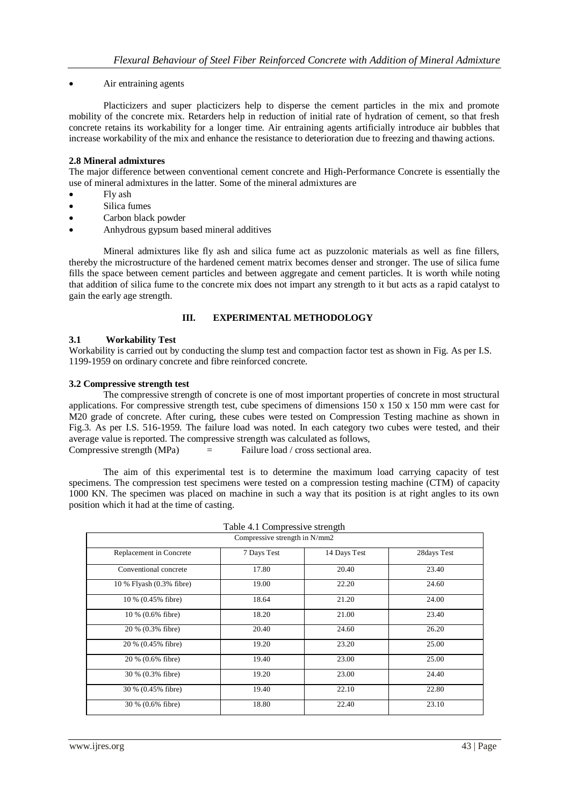## Air entraining agents

Placticizers and super placticizers help to disperse the cement particles in the mix and promote mobility of the concrete mix. Retarders help in reduction of initial rate of hydration of cement, so that fresh concrete retains its workability for a longer time. Air entraining agents artificially introduce air bubbles that increase workability of the mix and enhance the resistance to deterioration due to freezing and thawing actions.

## **2.8 Mineral admixtures**

The major difference between conventional cement concrete and High-Performance Concrete is essentially the use of mineral admixtures in the latter. Some of the mineral admixtures are

- Fly ash
- Silica fumes
- Carbon black powder
- Anhydrous gypsum based mineral additives

Mineral admixtures like fly ash and silica fume act as puzzolonic materials as well as fine fillers, thereby the microstructure of the hardened cement matrix becomes denser and stronger. The use of silica fume fills the space between cement particles and between aggregate and cement particles. It is worth while noting that addition of silica fume to the concrete mix does not impart any strength to it but acts as a rapid catalyst to gain the early age strength.

## **III. EXPERIMENTAL METHODOLOGY**

## **3.1 Workability Test**

Workability is carried out by conducting the slump test and compaction factor test as shown in Fig. As per I.S. 1199-1959 on ordinary concrete and fibre reinforced concrete.

#### **3.2 Compressive strength test**

The compressive strength of concrete is one of most important properties of concrete in most structural applications. For compressive strength test, cube specimens of dimensions  $150 \times 150 \times 150$  mm were cast for M20 grade of concrete. After curing, these cubes were tested on Compression Testing machine as shown in Fig.3. As per I.S. 516-1959. The failure load was noted. In each category two cubes were tested, and their average value is reported. The compressive strength was calculated as follows, Compressive strength  $(MPa)$  = Failure load / cross sectional area.

The aim of this experimental test is to determine the maximum load carrying capacity of test specimens. The compression test specimens were tested on a compression testing machine (CTM) of capacity 1000 KN. The specimen was placed on machine in such a way that its position is at right angles to its own position which it had at the time of casting.

| Table 4.1 Compressive strength |                               |              |             |  |  |
|--------------------------------|-------------------------------|--------------|-------------|--|--|
|                                | Compressive strength in N/mm2 |              |             |  |  |
| Replacement in Concrete        | 7 Days Test                   | 14 Days Test | 28days Test |  |  |
| Conventional concrete          | 17.80                         | 20.40        | 23.40       |  |  |
| 10 % Flyash (0.3% fibre)       | 19.00                         | 22.20        | 24.60       |  |  |
| 10 % (0.45% fibre)             | 18.64                         | 21.20        | 24.00       |  |  |
| 10 % (0.6% fibre)              | 18.20                         | 21.00        | 23.40       |  |  |
| 20 % (0.3% fibre)              | 20.40                         | 24.60        | 26.20       |  |  |
| 20 % (0.45% fibre)             | 19.20                         | 23.20        | 25.00       |  |  |
| 20 % (0.6% fibre)              | 19.40                         | 23.00        | 25.00       |  |  |
| 30 % (0.3% fibre)              | 19.20                         | 23.00        | 24.40       |  |  |
| 30 % (0.45% fibre)             | 19.40                         | 22.10        | 22.80       |  |  |
| 30 % (0.6% fibre)              | 18.80                         | 22.40        | 23.10       |  |  |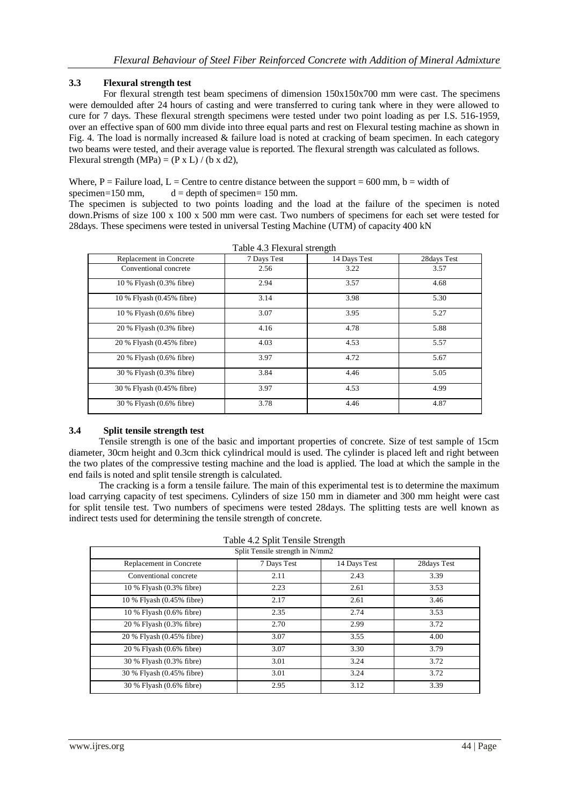# **3.3 Flexural strength test**

For flexural strength test beam specimens of dimension 150x150x700 mm were cast. The specimens were demoulded after 24 hours of casting and were transferred to curing tank where in they were allowed to cure for 7 days. These flexural strength specimens were tested under two point loading as per I.S. 516-1959, over an effective span of 600 mm divide into three equal parts and rest on Flexural testing machine as shown in Fig. 4. The load is normally increased & failure load is noted at cracking of beam specimen. In each category two beams were tested, and their average value is reported. The flexural strength was calculated as follows. Flexural strength (MPa) =  $(P \times L) / (b \times d2)$ ,

Where, P = Failure load, L = Centre to centre distance between the support = 600 mm, b = width of specimen= $150 \text{ mm}$ ,  $d =$  depth of specimen=  $150 \text{ mm}$ .

The specimen is subjected to two points loading and the load at the failure of the specimen is noted down.Prisms of size 100 x 100 x 500 mm were cast. Two numbers of specimens for each set were tested for 28days. These specimens were tested in universal Testing Machine (UTM) of capacity 400 kN

| Table 4.3 Flexural strength |             |              |              |  |
|-----------------------------|-------------|--------------|--------------|--|
| Replacement in Concrete     | 7 Days Test | 14 Days Test | 28 days Test |  |
| Conventional concrete       | 2.56        | 3.22         | 3.57         |  |
| 10 % Flyash (0.3% fibre)    | 2.94        | 3.57         | 4.68         |  |
| 10 % Flyash (0.45% fibre)   | 3.14        | 3.98         | 5.30         |  |
| 10 % Flyash (0.6% fibre)    | 3.07        | 3.95         | 5.27         |  |
| 20 % Flyash (0.3% fibre)    | 4.16        | 4.78         | 5.88         |  |
| 20 % Flyash (0.45% fibre)   | 4.03        | 4.53         | 5.57         |  |
| 20 % Flyash (0.6% fibre)    | 3.97        | 4.72         | 5.67         |  |
| 30 % Flyash (0.3% fibre)    | 3.84        | 4.46         | 5.05         |  |
| 30 % Flyash (0.45% fibre)   | 3.97        | 4.53         | 4.99         |  |
| 30 % Flyash (0.6% fibre)    | 3.78        | 4.46         | 4.87         |  |

#### **3.4 Split tensile strength test**

Tensile strength is one of the basic and important properties of concrete. Size of test sample of 15cm diameter, 30cm height and 0.3cm thick cylindrical mould is used. The cylinder is placed left and right between the two plates of the compressive testing machine and the load is applied. The load at which the sample in the end fails is noted and split tensile strength is calculated.

The cracking is a form a tensile failure. The main of this experimental test is to determine the maximum load carrying capacity of test specimens. Cylinders of size 150 mm in diameter and 300 mm height were cast for split tensile test. Two numbers of specimens were tested 28days. The splitting tests are well known as indirect tests used for determining the tensile strength of concrete.

| Table 4.2 Split Tensile Strength |  |  |
|----------------------------------|--|--|
|                                  |  |  |

| Split Tensile strength in N/mm2 |             |              |             |  |
|---------------------------------|-------------|--------------|-------------|--|
| Replacement in Concrete         | 7 Days Test | 14 Days Test | 28days Test |  |
| Conventional concrete           | 2.11        | 2.43         | 3.39        |  |
| 10 % Flyash (0.3% fibre)        | 2.23        | 2.61         | 3.53        |  |
| 10 % Flyash (0.45% fibre)       | 2.17        | 2.61         | 3.46        |  |
| 10 % Flyash (0.6% fibre)        | 2.35        | 2.74         | 3.53        |  |
| 20 % Flyash (0.3% fibre)        | 2.70        | 2.99         | 3.72        |  |
| 20 % Flyash (0.45% fibre)       | 3.07        | 3.55         | 4.00        |  |
| 20 % Flyash (0.6% fibre)        | 3.07        | 3.30         | 3.79        |  |
| 30 % Flyash (0.3% fibre)        | 3.01        | 3.24         | 3.72        |  |
| 30 % Flyash (0.45% fibre)       | 3.01        | 3.24         | 3.72        |  |
| 30 % Flyash (0.6% fibre)        | 2.95        | 3.12         | 3.39        |  |